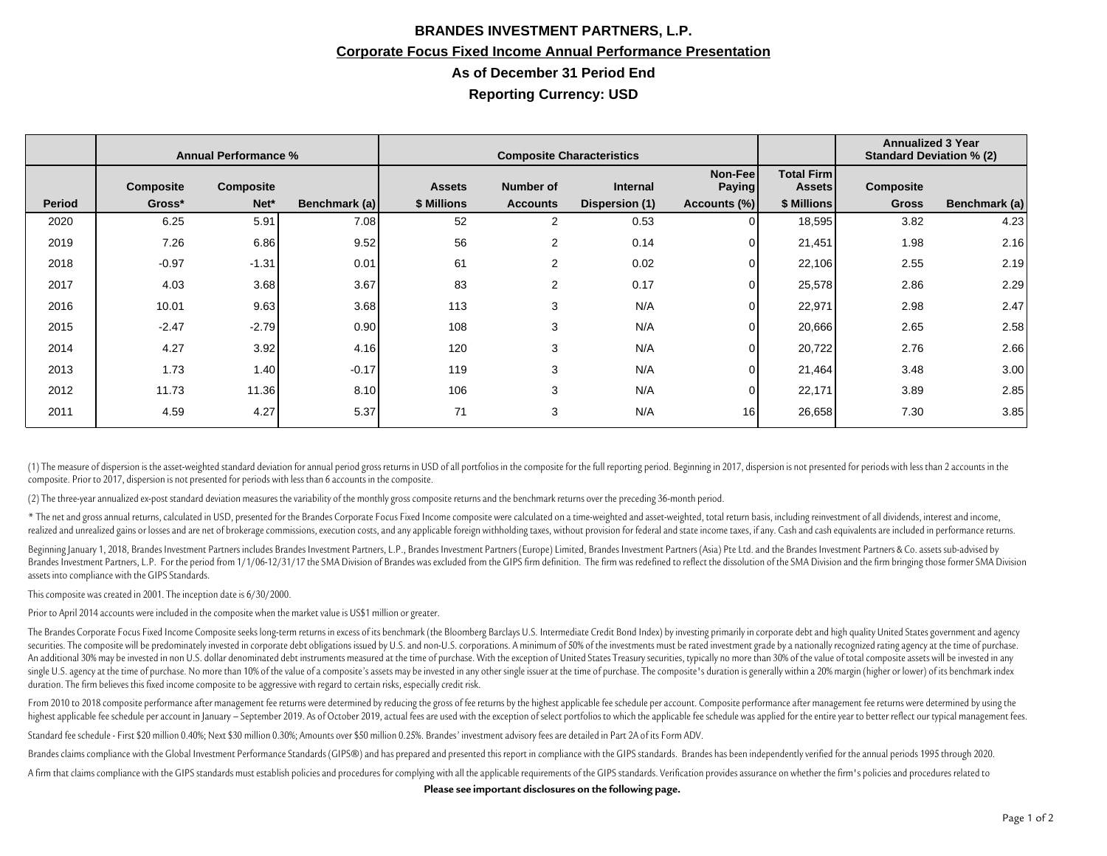## **BRANDES INVESTMENT PARTNERS, L.P. Corporate Focus Fixed Income Annual Performance Presentation As of December 31 Period End Reporting Currency: USD**

|               | <b>Annual Performance %</b> |           |               | <b>Composite Characteristics</b> |                 |                |                   |                                    | <b>Annualized 3 Year</b><br><b>Standard Deviation % (2)</b> |               |
|---------------|-----------------------------|-----------|---------------|----------------------------------|-----------------|----------------|-------------------|------------------------------------|-------------------------------------------------------------|---------------|
|               | <b>Composite</b>            | Composite |               | <b>Assets</b>                    | Number of       | Internal       | Non-Fee<br>Paying | <b>Total Firm</b><br><b>Assets</b> | Composite                                                   |               |
| <b>Period</b> | Gross*                      | Net*      | Benchmark (a) | \$ Millions                      | <b>Accounts</b> | Dispersion (1) | Accounts (%)      | \$ Millions                        | <b>Gross</b>                                                | Benchmark (a) |
| 2020          | 6.25                        | 5.91      | 7.08          | 52                               | $\overline{2}$  | 0.53           | 0                 | 18,595                             | 3.82                                                        | 4.23          |
| 2019          | 7.26                        | 6.86      | 9.52          | 56                               | 2               | 0.14           |                   | 21,451                             | 1.98                                                        | 2.16          |
| 2018          | $-0.97$                     | $-1.31$   | 0.01          | 61                               | $\overline{2}$  | 0.02           | U                 | 22,106                             | 2.55                                                        | 2.19          |
| 2017          | 4.03                        | 3.68      | 3.67          | 83                               | 2               | 0.17           | 0                 | 25,578                             | 2.86                                                        | 2.29          |
| 2016          | 10.01                       | 9.63      | 3.68          | 113                              | 3               | N/A            | 0                 | 22,971                             | 2.98                                                        | 2.47          |
| 2015          | $-2.47$                     | $-2.79$   | 0.90          | 108                              | 3               | N/A            | n١                | 20,666                             | 2.65                                                        | 2.58          |
| 2014          | 4.27                        | 3.92      | 4.16          | 120                              | 3               | N/A            | 0                 | 20,722                             | 2.76                                                        | 2.66          |
| 2013          | 1.73                        | 1.40      | $-0.17$       | 119                              | 3               | N/A            | 0                 | 21,464                             | 3.48                                                        | 3.00          |
| 2012          | 11.73                       | 11.36     | 8.10          | 106                              | 3               | N/A            | n١                | 22,171                             | 3.89                                                        | 2.85          |
| 2011          | 4.59                        | 4.27      | 5.37          | 71                               | 3               | N/A            | 16                | 26,658                             | 7.30                                                        | 3.85          |

(1) The measure of dispersion is the asset-weighted standard deviation for annual period gross returns in USD of all portfolios in the composite for the full reporting period. Beginning in 2017, dispersion is not presented composite. Prior to 2017, dispersion is not presented for periods with less than 6 accounts in the composite.

(2) The three-year annualized ex-post standard deviation measures the variability of the monthly gross composite returns and the benchmark returns over the preceding 36-month period.

\* The net and gross annual returns, calculated in USD, presented for the Brandes Corporate Focus Fixed Income composite were calculated on a time-weighted and asset-weighted, total return basis, including reinvestment of a realized and unrealized gains or losses and are net of brokerage commissions, execution costs, and any applicable foreign withholding taxes, without provision for federal and state income taxes, if any. Cash and cash equiv

Beginning January 1, 2018, Brandes Investment Partners includes Brandes Investment Partners, L.P., Brandes Investment Partners (Europe) Limited, Brandes Investment Partners (Asia) Pte Ltd. and the Brandes Investment Partne Brandes Investment Partners, L.P. For the period from 1/1/06-12/31/17 the SMA Division of Brandes was excluded from the GIPS firm definition. The firm was redefined to reflect the dissolution of the SMA Division and the fi assets into compliance with the GIPS Standards.

This composite was created in 2001. The inception date is 6/30/2000.

Prior to April 2014 accounts were included in the composite when the market value is US\$1 million or greater.

The Brandes Corporate Focus Fixed Income Composite seeks long-term returns in excess of its benchmark (the Bloomberg Barclays U.S. Intermediate Credit Bond Index) by investing primarily in corporate debt and high quality U securities. The composite will be predominately invested in corporate debt obligations issued by U.S. and non-U.S. corporations. A minimum of 50% of the investments must be rated investment grade by a nationally recognized An additional 30% may be invested in non U.S. dollar denominated debt instruments measured at the time of purchase. With the exception of United States Treasury securities, typically no more than 30% of the value of total single U.S. agency at the time of purchase. No more than 10% of the value of a composite's assets may be invested in any other single issuer at the time of purchase. The composite's duration is generally within a 20% margi duration. The firm believes this fixed income composite to be aggressive with regard to certain risks, especially credit risk.

From 2010 to 2018 composite performance after management fee returns were determined by reducing the gross of fee returns by the highest applicable fee schedule per account. Composite performance after management fee retur highest applicable fee schedule per account in January - September 2019. As of October 2019, actual fees are used with the exception of select portfolios to which the applicable fee schedule was applied for the entire year

Standard fee schedule - First \$20 million 0.40%; Next \$30 million 0.30%; Amounts over \$50 million 0.25%. Brandes' investment advisory fees are detailed in Part 2A of its Form ADV.

Brandes claims compliance with the Global Investment Performance Standards (GIPS®) and has prepared and presented this report in compliance with the GIPS standards. Brandes has been independently verified for the annual pe

A firm that claims compliance with the GIPS standards must establish policies and procedures for complying with all the applicable requirements of the GIPS standards. Verification provides assurance on whether the firm's p

**Please see important disclosures on the following page.**